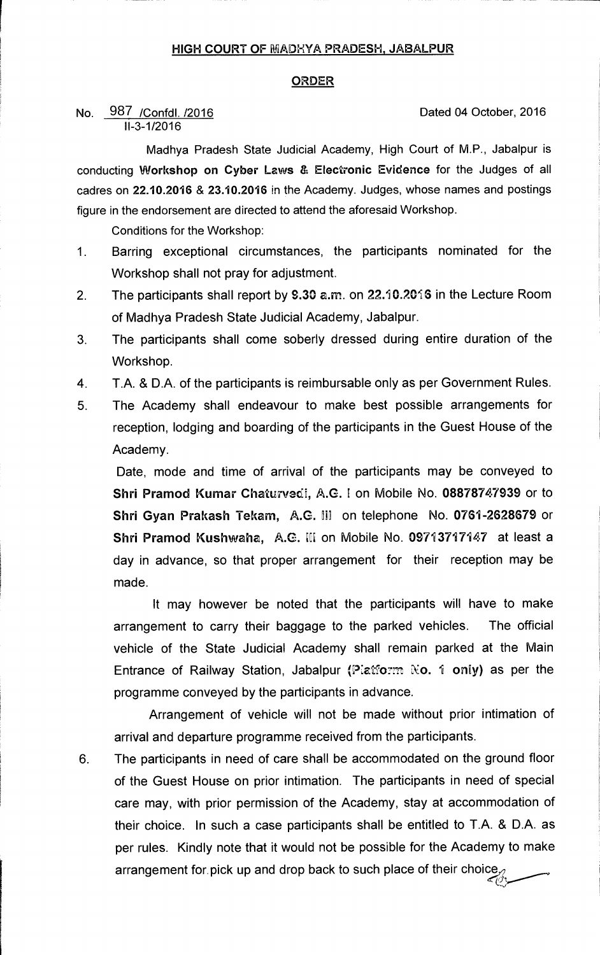## **HIGH COURT OF MADXYA PRADESH, JABALPUR**

## **ORDER**

## No. 987 / Confdl. /2016 **Dated 04 October, 2016 11-3-1/2016**

**Madhya Pradesh State Judicial Academy, High Court of M.P., Jabalpur is conducting Workshop on Cyber Laws & Electronic Evidence for the Judges of all cadres on 22.10.2016 & 23.10.2016 in the Academy. Judges, whose names and postings figure in the endorsement are directed to attend the aforesaid Workshop.** 

**Conditions for the Workshop:** 

- **1 Barring exceptional circumstances, the participants nominated for the Workshop shall not pray for adjustment.**
- 2. The participants shall report by 9.30 a.m. on 22.10.2016 in the Lecture Room **of Madhya Pradesh State Judicial Academy, Jabalpur.**
- **3. The participants shall come soberly dressed during entire duration of the Workshop.**
- **4 T.A. & D.A. of the participants is reimbursable only as per Government Rules.**
- **5. The Academy shall endeavour to make best possible arrangements for reception, lodging and boarding of the participants in the Guest House of the Academy.**

**Date, mode and time of arrival of the participants may be conveyed to Shri Pramod Kumar Chaturvedi, A.G. I on Mobile No. 08878747939 or to Shri Gyan Prakash Tekam, A.G. H] on telephone No. 0761-2628679 or Shri Pramod Kushwaha, A.G. l[i on Mobile No. 09713717147 at least a day in advance, so that proper arrangement for their reception may be made.** 

**It may however be noted that the participants will have to make arrangement to carry their baggage to the parked vehicles. The official vehicle of the State Judicial Academy shall remain parked at the Main Entrance of Railway Station, Jabalpur (P:atfo:m Xo. I only) as per the programme conveyed by the participants in advance.** 

**Arrangement of vehicle will not be made without prior intimation of arrival and departure programme received from the participants.** 

**6. The participants in need of care shall be accommodated on the ground floor of the Guest House on prior intimation. The participants in need of special care may, with prior permission of the Academy, stay at accommodation of their choice. In such a case participants shall be entitled to T.A. & D.A. as per rules. Kindly note that it would not be possible for the Academy to make arrangement for pick up and drop back to such place of their choice,**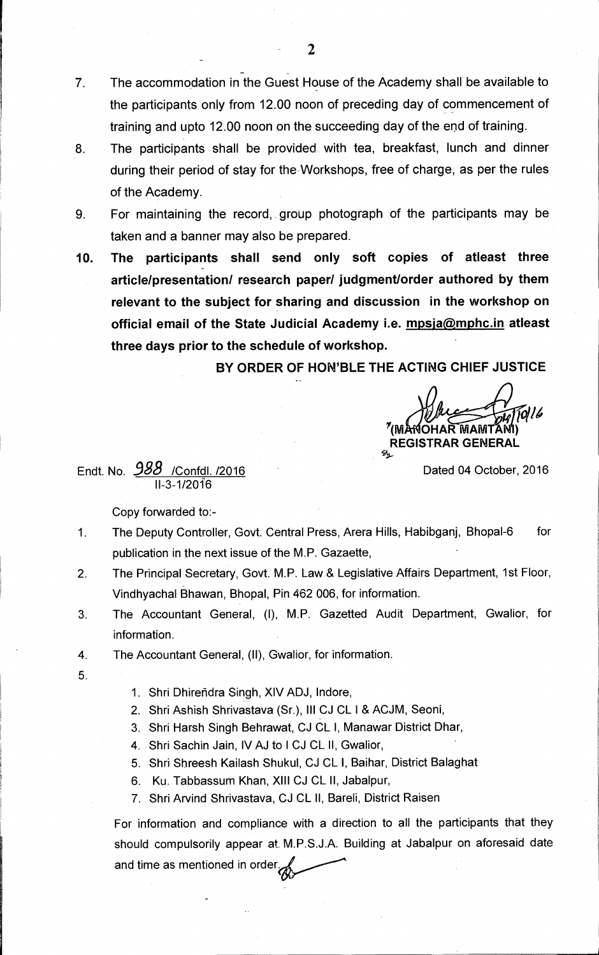- **7 The accommodation in the Guest House of the Academy shall be available to the participants only from 12.00 noon of preceding day of commencement of training and upto 12.00 noon on the succeeding day of the end of training.**
- **8. The participants shall be provided with tea, breakfast, lunch and dinner during their period of stay for the-Workshops, free of charge, as per the rules of the Academy.**
- **9 For maintaining the record, group photograph of the participants may be taken and a banner may also be prepared.**
- **10. The participants shall send only soft copies of atleast three article/presentation/ research paper/ judgment/order authored by them relevant to the subject for sharing and discussion in the workshop on**  official email of the State Judicial Academy i.e. mpsja@mphc.in atleast **three days prior to the schedule of workshop.**

**BY ORDER OF HON'BLE THE ACTING CHIEF JUSTICE** 

**/ON <sup>Y</sup>(114 OHAR MAM ) REGISTRAR GENERAL**<br>%L

**Endt. No.** *988* **/Confdl. /2016 Dated 04 October, 2016**  I l-3-1/2016

**Copy forwarded to:-** 

- **1 The Deputy Controller, Govt. Central Press, Arera Hills, Habibganj, Bhopal-6 for publication in the next issue of the M.P. Gazaette,**
- **2. The Principal Secretary, Govt. M.P. Law & Legislative Affairs Department, 1st Floor, Vindhyachal Bhawan, Bhopal, Pin 462 006, for information.**
- **3. The Accountant General, (I), M.P. Gazetted Audit Department, Gwalior, for information.**
- **4. The Accountant General, (II), Gwalior, for information.**
- **5.**
- **1. Shri Dhirendra Singh, XIV ADJ, lndore,**
- **2. Shri Ashish Shrivastava (Sr.), Ill CJ CL I & ACJM, Seoni,**
- **3. Shri Harsh Singh Behrawat, CJ CL I, Manawar District Dhar,**
- **4. Shri Sachin Jain, IV AJ to I CJ CL II, Gwalior,**
- **5. Shri Shreesh Kailash Shukul, CJ CL I, Baihar, District Balaghat**
- **6. Ku. Tabbassum Khan, XIII CJ CL II, Jabalpur,**
- **7. Shri Arvind Shrivastava, CJ CL II, Bareli, District Raisen**

**For information and compliance with a direction to all the participants that they should compulsorily appear at, M.P.S.J.A. Building at Jabalpur on aforesaid date and time as mentioned in order.**